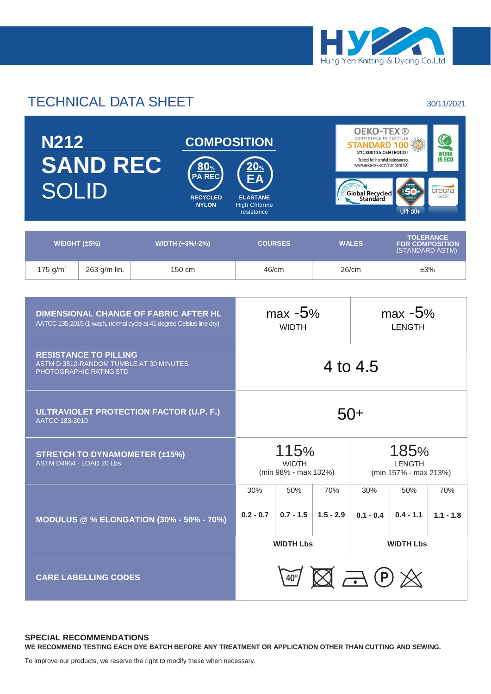

# TECHNICAL DATA SHEET 30/11/2021

| <b>N212</b><br><b>SAND REC</b><br><b>SOLID</b> |              | <u>80% </u><br><b>PA REC</b><br><b>RECYCLED</b><br><b>NYLON</b> | <b>COMPOSITION</b><br>$20_\%$<br><b>EA</b><br><b>ELASTANE</b><br><b>High Chlorine</b><br>resistance |                | <b>OEKO-TEX®</b><br>CONFIDENCE IN TEXTILES<br><b>STANDARD</b><br>21CX00135 CENTROCOT<br>Tested for harmful substances.<br>www.oeko-tex.com/standard100<br>Global Recycled<br><b>UPF 50+</b> | $\mathbf{y}$<br><b>WORK</b><br><b>IN ECO</b><br>creora<br>highclo) |  |
|------------------------------------------------|--------------|-----------------------------------------------------------------|-----------------------------------------------------------------------------------------------------|----------------|---------------------------------------------------------------------------------------------------------------------------------------------------------------------------------------------|--------------------------------------------------------------------|--|
| WEIGHT $(\pm 5\%)$                             |              |                                                                 | WIDTH (+3%/-2%)                                                                                     | <b>COURSES</b> | <b>WALES</b>                                                                                                                                                                                | <b>TOLERANCE</b><br><b>FOR COMPOSITION</b><br>(STANDARD ASTM)      |  |
| 175 $g/m^2$                                    | 263 g/m lin. |                                                                 | $150 \text{ cm}$                                                                                    | 46/cm          | 26/cm                                                                                                                                                                                       | ±3%                                                                |  |

| <b>DIMENSIONAL CHANGE OF FABRIC AFTER HL</b><br>AATCC 135-2015 (1 wash, normal cycle at 41 degree Celsius line dry) | $max -5%$<br><b>WIDTH</b>                       |                                              |             | $max -5%$<br><b>LENGTH</b> |                                                |             |  |  |
|---------------------------------------------------------------------------------------------------------------------|-------------------------------------------------|----------------------------------------------|-------------|----------------------------|------------------------------------------------|-------------|--|--|
| <b>RESISTANCE TO PILLING</b><br>ASTM D 3512-RANDOM TUMBLE AT 30 MINUTES<br>PHOTOGRAPHIC RATING STD                  | 4 to 4.5                                        |                                              |             |                            |                                                |             |  |  |
| ULTRAVIOLET PROTECTION FACTOR (U.P. F.)<br>AATCC 183-2010                                                           |                                                 | $50+$                                        |             |                            |                                                |             |  |  |
| <b>STRETCH TO DYNAMOMETER (±15%)</b><br>ASTM D4964 - LOAD 20 Lbs                                                    |                                                 | 115%<br><b>WIDTH</b><br>(min 98% - max 132%) |             |                            | 185%<br><b>LENGTH</b><br>(min 157% - max 213%) |             |  |  |
|                                                                                                                     | 30%                                             | 50%                                          | 70%         | 30%                        | 50%                                            | 70%         |  |  |
| <b>MODULUS @ % ELONGATION (30% - 50% - 70%)</b>                                                                     | $0.2 - 0.7$                                     | $0.7 - 1.5$                                  | $1.5 - 2.9$ | $0.1 - 0.4$                | $0.4 - 1.1$                                    | $1.1 - 1.8$ |  |  |
|                                                                                                                     |                                                 | <b>WIDTH Lbs</b>                             |             | <b>WIDTH Lbs</b>           |                                                |             |  |  |
| <b>CARE LABELLING CODES</b>                                                                                         | $\mathbb{F}\boxtimes\mathbb{Z}\oplus\mathbb{Z}$ |                                              |             |                            |                                                |             |  |  |

### **SPECIAL RECOMMENDATIONS WE RECOMMEND TESTING EACH DYE BATCH BEFORE ANY TREATMENT OR APPLICATION OTHER THAN CUTTING AND SEWING.**

To improve our products, we reserve the right to modify these when necessary.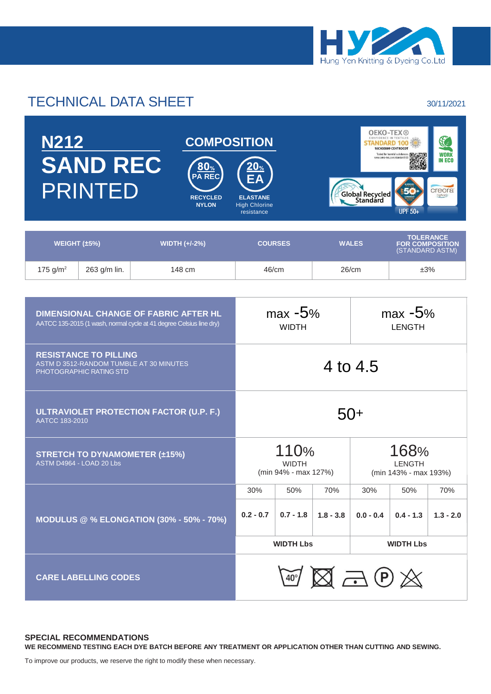

# TECHNICAL DATA SHEET 30/11/2021

|                    | <b>N212</b><br><b>SAND REC</b><br><b>PRINTED</b> |                      | <b>COMPOSITION</b><br><u>80%</u><br><b>PA REC</b><br><b>RECYCLED</b><br><b>NYLON</b> | $\frac{20}{2}$<br><b>ELASTANE</b><br><b>High Chlorine</b><br>resistance | Global Recycled | <b>OEKO-TEX®</b><br>16CX00009 CENTROCOT<br><b>WORK</b><br>Tested for harmful substances<br>胆碱果<br>ww.oeko-tex.com/standard100<br><b>IN ECO</b><br>creora<br>highclo)<br><b>UPF 50+</b> |
|--------------------|--------------------------------------------------|----------------------|--------------------------------------------------------------------------------------|-------------------------------------------------------------------------|-----------------|----------------------------------------------------------------------------------------------------------------------------------------------------------------------------------------|
| WEIGHT $(\pm 5\%)$ |                                                  | <b>WIDTH (+/-2%)</b> |                                                                                      | <b>COURSES</b>                                                          | <b>WALES</b>    | <b>TOLERANCE</b><br><b>FOR COMPOSITION</b><br>(STANDARD ASTM)                                                                                                                          |
| 175 $g/m^2$        | 263 g/m lin.                                     | 148 cm               |                                                                                      | 46/cm                                                                   | 26/cm           | ±3%                                                                                                                                                                                    |

| <b>DIMENSIONAL CHANGE OF FABRIC AFTER HL</b><br>AATCC 135-2015 (1 wash, normal cycle at 41 degree Celsius line dry) | $max -5%$<br><b>WIDTH</b>                    |                  |             | $max -5%$<br><b>LENGTH</b>                          |             |             |  |  |
|---------------------------------------------------------------------------------------------------------------------|----------------------------------------------|------------------|-------------|-----------------------------------------------------|-------------|-------------|--|--|
| <b>RESISTANCE TO PILLING</b><br>ASTM D 3512-RANDOM TUMBLE AT 30 MINUTES<br>PHOTOGRAPHIC RATING STD                  | 4 to 4.5                                     |                  |             |                                                     |             |             |  |  |
| ULTRAVIOLET PROTECTION FACTOR (U.P. F.)<br>AATCC 183-2010                                                           | 50+                                          |                  |             |                                                     |             |             |  |  |
| <b>STRETCH TO DYNAMOMETER (±15%)</b><br>ASTM D4964 - LOAD 20 Lbs                                                    | 110%<br><b>WIDTH</b><br>(min 94% - max 127%) |                  |             | 168%<br><b>LENGTH</b><br>(min 143% - max 193%)      |             |             |  |  |
|                                                                                                                     | 30%                                          | 50%              | 70%         | 30%                                                 | 50%         | 70%         |  |  |
| <b>MODULUS @ % ELONGATION (30% - 50% - 70%)</b>                                                                     | $0.2 - 0.7$                                  | $0.7 - 1.8$      | $1.8 - 3.8$ | $0.0 - 0.4$                                         | $0.4 - 1.3$ | $1.3 - 2.0$ |  |  |
|                                                                                                                     |                                              | <b>WIDTH Lbs</b> |             | <b>WIDTH Lbs</b>                                    |             |             |  |  |
| <b>CARE LABELLING CODES</b>                                                                                         |                                              |                  |             | $\mathbb{Z} \boxtimes \mathbb{Z} \oplus \mathbb{Z}$ |             |             |  |  |

### **SPECIAL RECOMMENDATIONS WE RECOMMEND TESTING EACH DYE BATCH BEFORE ANY TREATMENT OR APPLICATION OTHER THAN CUTTING AND SEWING.**

To improve our products, we reserve the right to modify these when necessary.